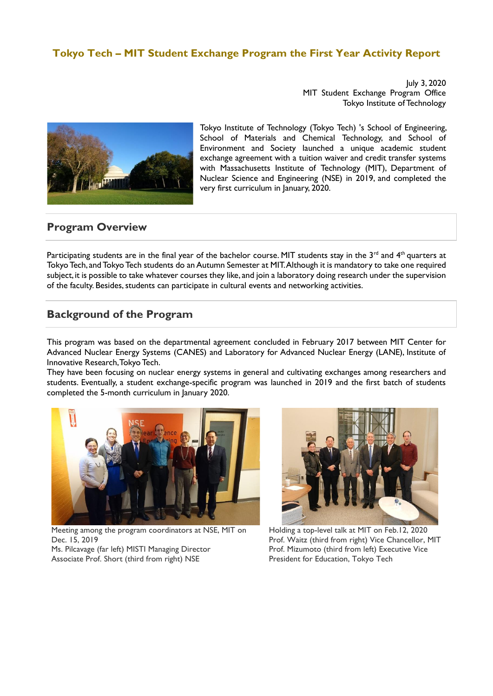## **Tokyo Tech – MIT Student Exchange Program the First Year Activity Report**

July 3, 2020 MIT Student Exchange Program Office Tokyo Institute of Technology



Tokyo Institute of Technology (Tokyo Tech) 's School of Engineering, School of Materials and Chemical Technology, and School of Environment and Society launched a unique academic student exchange agreement with a tuition waiver and credit transfer systems with Massachusetts Institute of Technology (MIT), Department of Nuclear Science and Engineering (NSE) in 2019, and completed the very first curriculum in January, 2020.

## **Program Overview**

Participating students are in the final year of the bachelor course. MIT students stay in the  $3^{rd}$  and  $4^{th}$  quarters at Tokyo Tech, and Tokyo Tech students do an Autumn Semester at MIT. Although it is mandatory to take one required subject, it is possible to take whatever courses they like, and join a laboratory doing research under the supervision of the faculty. Besides, students can participate in cultural events and networking activities.

# **Background of the Program**

This program was based on the departmental agreement concluded in February 2017 between MIT Center for Advanced Nuclear Energy Systems (CANES) and Laboratory for Advanced Nuclear Energy (LANE), Institute of Innovative Research, Tokyo Tech.

They have been focusing on nuclear energy systems in general and cultivating exchanges among researchers and students. Eventually, a student exchange-specific program was launched in 2019 and the first batch of students completed the 5-month curriculum in January 2020.



Meeting among the program coordinators at NSE, MIT on Dec. 15, 2019

Ms. Pilcavage (far left) MISTI Managing Director Associate Prof. Short (third from right) NSE



Holding a top-level talk at MIT on Feb.12, 2020 Prof. Waitz (third from right) Vice Chancellor, MIT Prof. Mizumoto (third from left) Executive Vice President for Education, Tokyo Tech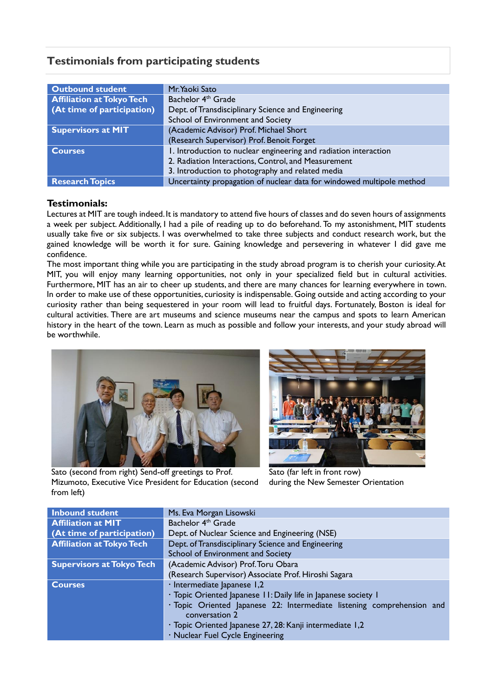# **Testimonials from participating students**

| <b>Outbound student</b>          | Mr. Yaoki Sato                                                        |
|----------------------------------|-----------------------------------------------------------------------|
| <b>Affiliation at Tokyo Tech</b> | Bachelor 4 <sup>th</sup> Grade                                        |
| (At time of participation)       | Dept. of Transdisciplinary Science and Engineering                    |
|                                  | School of Environment and Society                                     |
| <b>Supervisors at MIT</b>        | (Academic Advisor) Prof. Michael Short                                |
|                                  | (Research Supervisor) Prof. Benoit Forget                             |
| <b>Courses</b>                   | I. Introduction to nuclear engineering and radiation interaction      |
|                                  | 2. Radiation Interactions, Control, and Measurement                   |
|                                  | 3. Introduction to photography and related media                      |
| <b>Research Topics</b>           | Uncertainty propagation of nuclear data for windowed multipole method |

## **Testimonials:**

Lectures at MIT are tough indeed. It is mandatory to attend five hours of classes and do seven hours of assignments a week per subject. Additionally, I had a pile of reading up to do beforehand. To my astonishment, MIT students usually take five or six subjects. I was overwhelmed to take three subjects and conduct research work, but the gained knowledge will be worth it for sure. Gaining knowledge and persevering in whatever I did gave me confidence.

The most important thing while you are participating in the study abroad program is to cherish your curiosity. At MIT, you will enjoy many learning opportunities, not only in your specialized field but in cultural activities. Furthermore, MIT has an air to cheer up students, and there are many chances for learning everywhere in town. In order to make use of these opportunities, curiosity is indispensable. Going outside and acting according to your curiosity rather than being sequestered in your room will lead to fruitful days. Fortunately, Boston is ideal for cultural activities. There are art museums and science museums near the campus and spots to learn American history in the heart of the town. Learn as much as possible and follow your interests, and your study abroad will be worthwhile.



Sato (second from right) Send-off greetings to Prof. Mizumoto, Executive Vice President for Education (second from left)



Sato (far left in front row) during the New Semester Orientation

| <b>Inbound student</b>           | Ms. Eva Morgan Lisowski                                                                  |
|----------------------------------|------------------------------------------------------------------------------------------|
| <b>Affiliation at MIT</b>        | Bachelor 4 <sup>th</sup> Grade                                                           |
| (At time of participation)       | Dept. of Nuclear Science and Engineering (NSE)                                           |
| <b>Affiliation at Tokyo Tech</b> | Dept. of Transdisciplinary Science and Engineering                                       |
|                                  | School of Environment and Society                                                        |
| <b>Supervisors at Tokyo Tech</b> | (Academic Advisor) Prof. Toru Obara                                                      |
|                                  | (Research Supervisor) Associate Prof. Hiroshi Sagara                                     |
| <b>Courses</b>                   | · Intermediate Japanese 1,2                                                              |
|                                  | · Topic Oriented Japanese 11: Daily life in Japanese society 1                           |
|                                  | · Topic Oriented Japanese 22: Intermediate listening comprehension and<br>conversation 2 |
|                                  | · Topic Oriented Japanese 27, 28: Kanji intermediate 1,2                                 |
|                                  | · Nuclear Fuel Cycle Engineering                                                         |